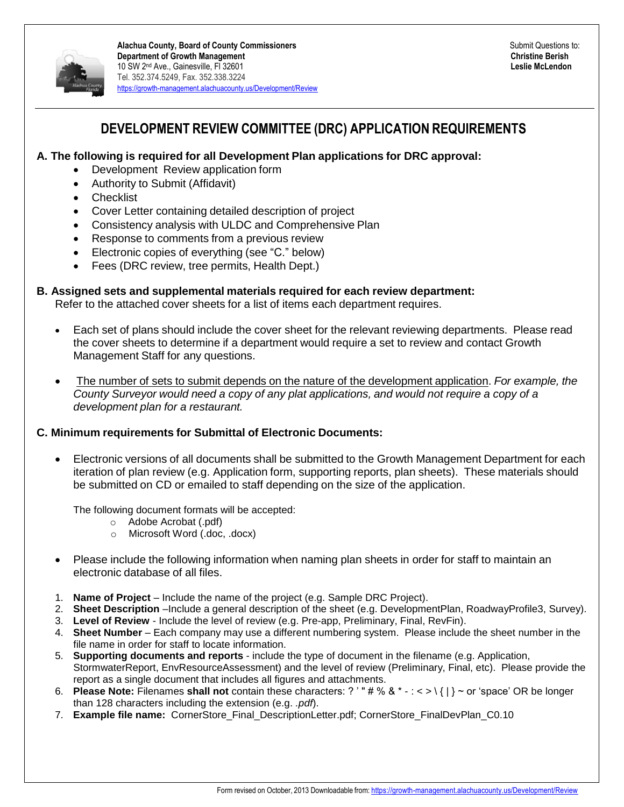

### **DEVELOPMENT REVIEW COMMITTEE (DRC) APPLICATION REQUIREMENTS**

#### **A. The following is required for all Development Plan applications for DRC approval:**

- Development Review application form
- Authority to Submit (Affidavit)
- Checklist
- Cover Letter containing detailed description of project
- Consistency analysis with ULDC and Comprehensive Plan
- Response to comments from a previous review
- Electronic copies of everything (see "C." below)
- Fees (DRC review, tree permits, Health Dept.)

#### **B. Assigned sets and supplemental materials required for each review department:**

Refer to the attached cover sheets for a list of items each department requires.

- Each set of plans should include the cover sheet for the relevant reviewing departments. Please read the cover sheets to determine if a department would require a set to review and contact Growth Management Staff for any questions.
- The number of sets to submit depends on the nature of the development application. *For example, the County Surveyor would need a copy of any plat applications, and would not require a copy of a development plan for a restaurant.*

#### **C. Minimum requirements for Submittal of Electronic Documents:**

 Electronic versions of all documents shall be submitted to the Growth Management Department for each iteration of plan review (e.g. Application form, supporting reports, plan sheets). These materials should be submitted on CD or emailed to staff depending on the size of the application.

The following document formats will be accepted:

- o Adobe Acrobat (.pdf)
- o Microsoft Word (.doc, .docx)
- Please include the following information when naming plan sheets in order for staff to maintain an electronic database of all files.
- 1. **Name of Project** Include the name of the project (e.g. Sample DRC Project).
- 2. **Sheet Description** –Include a general description of the sheet (e.g. DevelopmentPlan, RoadwayProfile3, Survey).
- 3. **Level of Review** Include the level of review (e.g. Pre-app, Preliminary, Final, RevFin).
- 4. **Sheet Number**  Each company may use a different numbering system. Please include the sheet number in the file name in order for staff to locate information.
- 5. **Supporting documents and reports**  include the type of document in the filename (e.g. Application, StormwaterReport, EnvResourceAssessment) and the level of review (Preliminary, Final, etc). Please provide the report as a single document that includes all figures and attachments.
- 6. **Please Note:** Filenames **shall not** contain these characters: ? ' " # % & \* : < > \ { | } ~ or 'space' OR be longer than 128 characters including the extension (e.g. *.pdf*).
- 7. **Example file name:** CornerStore\_Final\_DescriptionLetter.pdf; CornerStore\_FinalDevPlan\_C0.10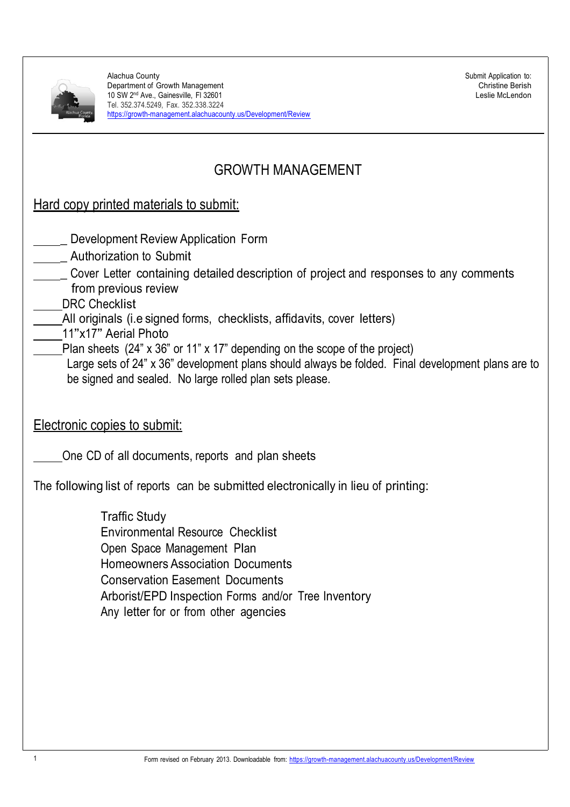

Submit Application to: Christine Berish Leslie McLendon

# GROWTH MANAGEMENT

|  |  |  |  | Hard copy printed materials to submit: |  |  |
|--|--|--|--|----------------------------------------|--|--|
|--|--|--|--|----------------------------------------|--|--|

- Development Review Application Form
- \_ Authorization to Submit
- \_ Cover Letter containing detailed description of project and responses to any comments from previous review
- DRC Checklist
- All originals (i.e signed forms, checklists, affidavits, cover letters)
- 11"x17" Aerial Photo
- Plan sheets (24" x 36" or 11" x 17" depending on the scope of the project)
	- Large sets of 24" x 36" development plans should always be folded. Final development plans are to be signed and sealed. No large rolled plan sets please.

Electronic copies to submit:

One CD of all documents, reports and plan sheets

The following list of reports can be submitted electronically in lieu of printing:

Traffic Study Environmental Resource Checklist Open Space Management Plan Homeowners Association Documents Conservation Easement Documents Arborist/EPD Inspection Forms and/or Tree Inventory Any letter for or from other agencies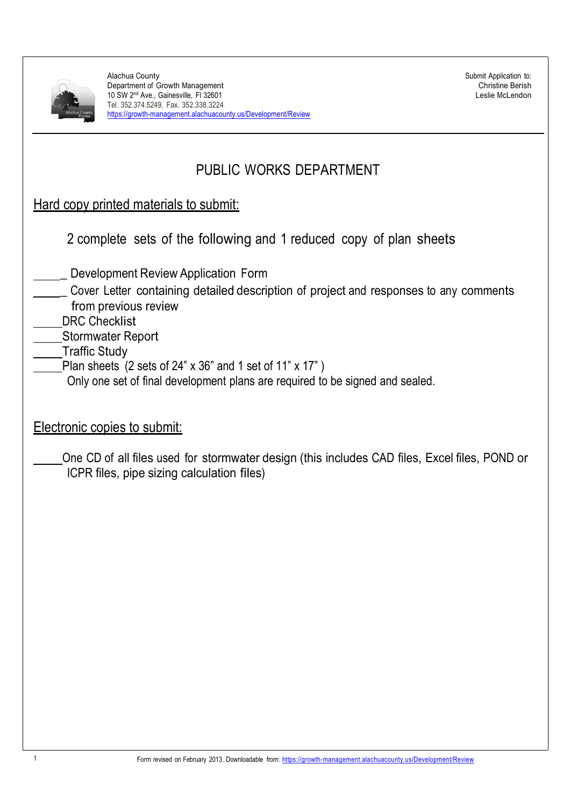|  | Alachua County,<br>Florida |
|--|----------------------------|

# PUBLIC WORKS DEPARTMENT

| 2 complete sets of the following and 1 reduced copy of plan sheets |  |  |  |  |  |  |  |  |
|--------------------------------------------------------------------|--|--|--|--|--|--|--|--|
|--------------------------------------------------------------------|--|--|--|--|--|--|--|--|

- Development Review Application Form
- \_ Cover Letter containing detailed description of project and responses to any comments from previous review
- DRC Checklist
- Stormwater Report
- Traffic Study
	- Plan sheets  $(2 \text{ sets of } 24" \times 36" \text{ and } 1 \text{ set of } 11" \times 17" )$ 
		- Only one set of final development plans are required to be signed and sealed.
- Electronic copies to submit:
	- One CD of all files used for stormwater design (this includes CAD files, Excel files, POND or ICPR files, pipe sizing calculation files)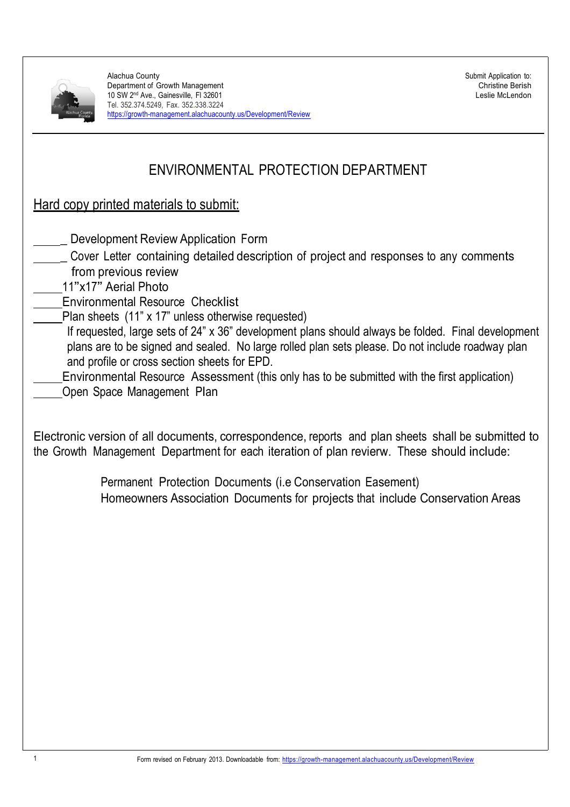

Submit Application to: Christine Berish Leslie McLendon

# ENVIRONMENTAL PROTECTION DEPARTMENT

## Hard copy printed materials to submit:

- Development Review Application Form
- \_ Cover Letter containing detailed description of project and responses to any comments from previous review
- <sup>11</sup>"x17" Aerial Photo
- Environmental Resource Checklist
- Plan sheets (11" x 17" unless otherwise requested)
- If requested, large sets of 24" x 36" development plans should always be folded. Final development plans are to be signed and sealed. No large rolled plan sets please. Do not include roadway plan and profile or cross section sheets for EPD.
- Environmental Resource Assessment (this only has to be submitted with the first application)
- Open Space Management Plan

Electronic version of all documents, correspondence, reports and plan sheets shall be submitted to the Growth Management Department for each iteration of plan revierw. These should include:

> Permanent Protection Documents (i.e Conservation Easement) Homeowners Association Documents for projects that include Conservation Areas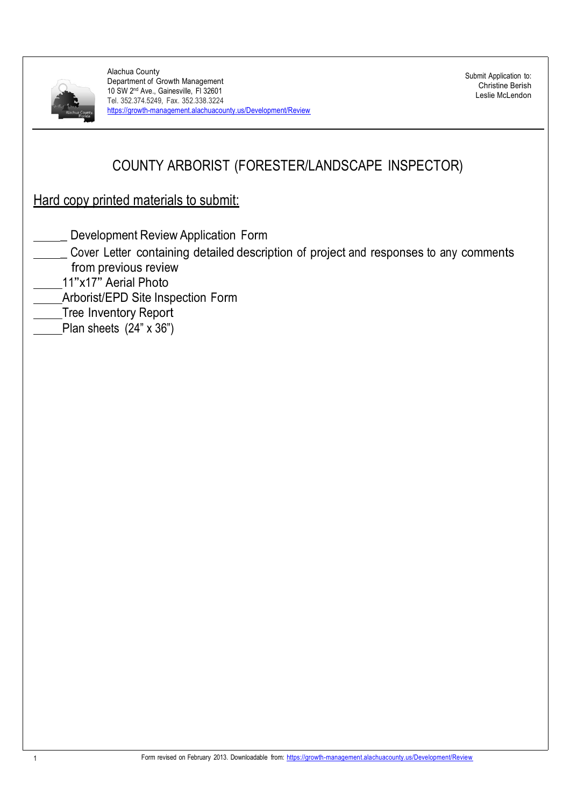

Submit Application to: Christine Berish Leslie McLendon

# COUNTY ARBORIST (FORESTER/LANDSCAPE INSPECTOR)

- Development Review Application Form
- \_ Cover Letter containing detailed description of project and responses to any comments from previous review
- <sup>11</sup>"x17" Aerial Photo
- Arborist/EPD Site Inspection Form
- Tree Inventory Report
- Plan sheets (24" x 36")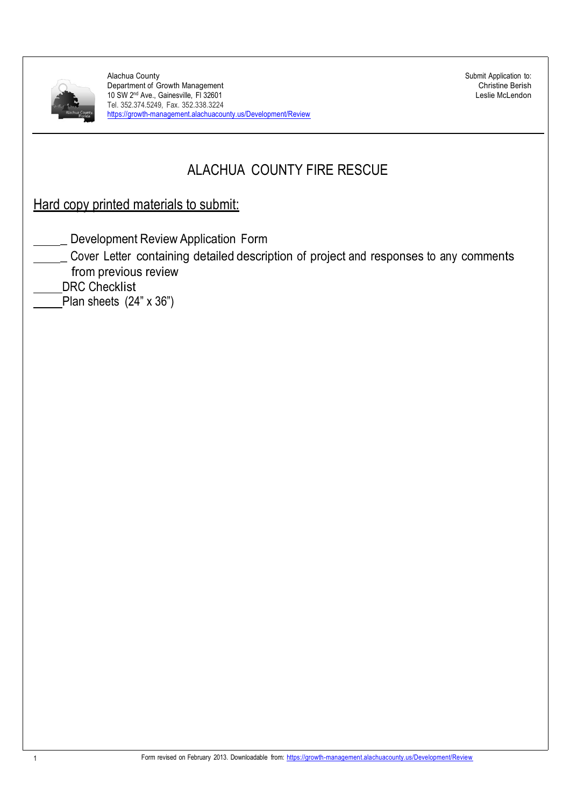

Submit Application to: Christine Berish Leslie McLendon

# ALACHUA COUNTY FIRE RESCUE

- Development Review Application Form
- \_ Cover Letter containing detailed description of project and responses to any comments from previous review
- DRC Checklist
- Plan sheets  $(24" \times 36")$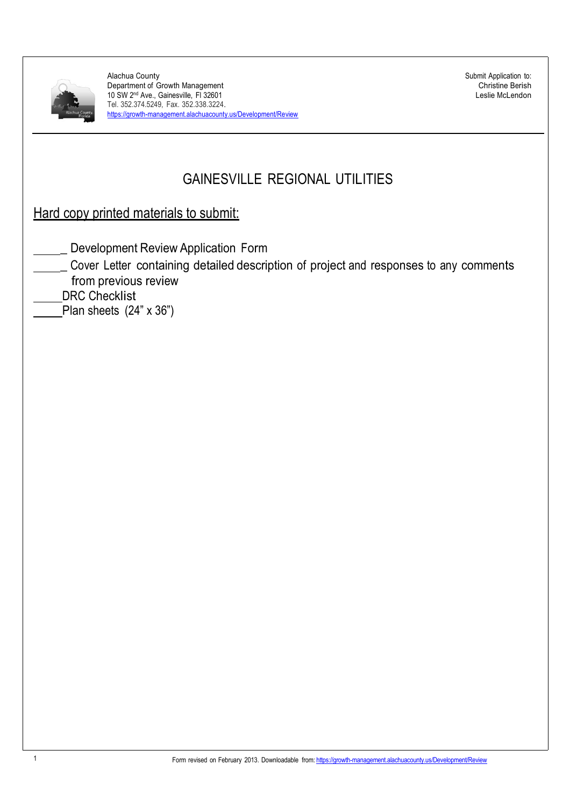

Submit Application to: Christine Berish Leslie McLendon

# GAINESVILLE REGIONAL UTILITIES

- Development Review Application Form
- \_ Cover Letter containing detailed description of project and responses to any comments from previous review
- DRC Checklist
- Plan sheets (24" x 36")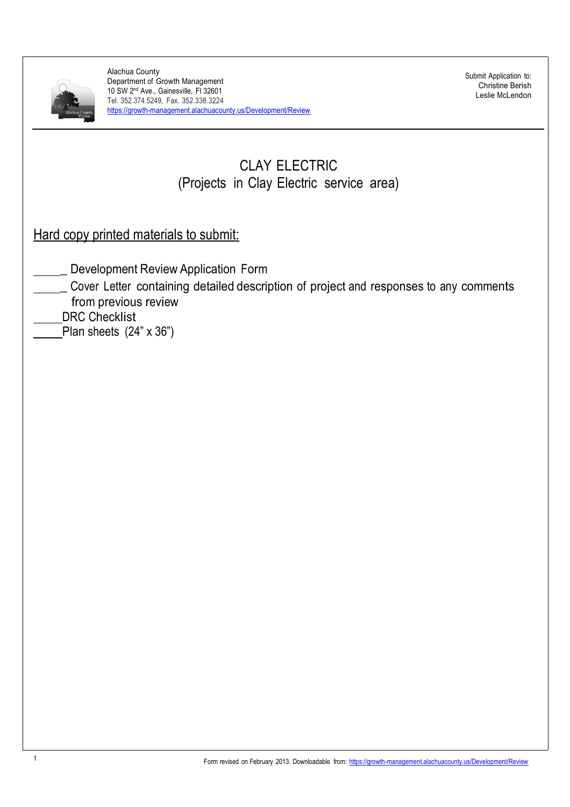

Submit Application to: Christine Berish Leslie McLendon

# CLAY ELECTRIC (Projects in Clay Electric service area)

- Development Review Application Form
- \_ Cover Letter containing detailed description of project and responses to any comments from previous review
- DRC Checklist
- Plan sheets (24" x 36")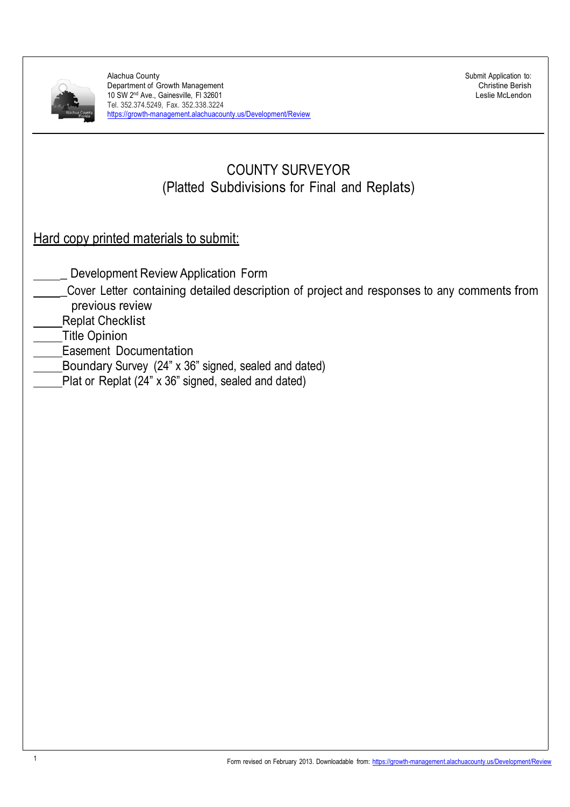

Submit Application to: Christine Berish Leslie McLendon

# COUNTY SURVEYOR (Platted Subdivisions for Final and Replats)

- Development Review Application Form
- \_Cover Letter containing detailed description of project and responses to any comments from previous review
- Replat Checklist
- Title Opinion
- Easement Documentation
- Boundary Survey (24" x 36" signed, sealed and dated)
- Plat or Replat (24" x 36" signed, sealed and dated)